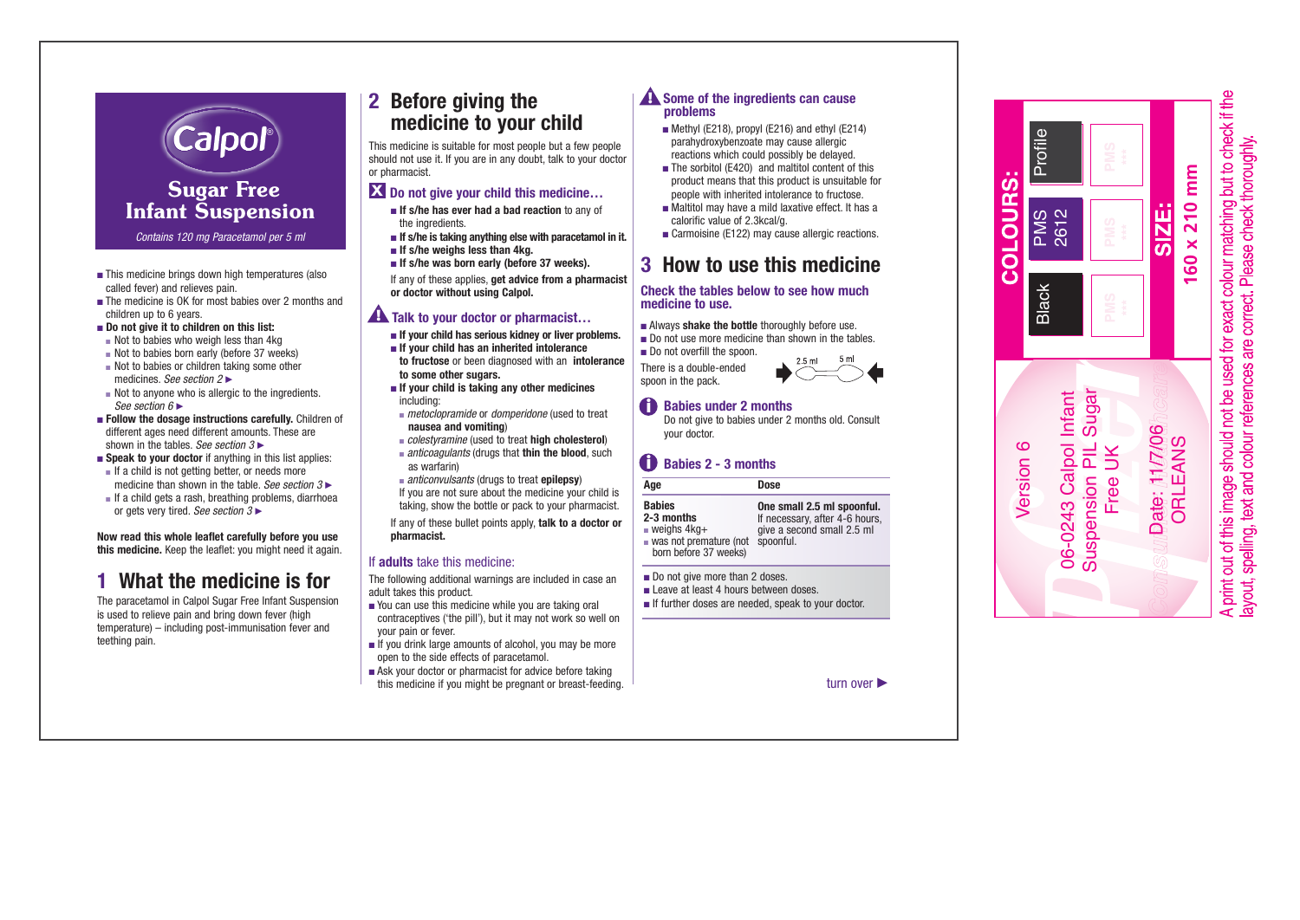

# Sugar Free **Infant Suspension**

*Contains 120 mg Paracetamol per 5 ml*

- This medicine brings down high temperatures (also called fever) and relieves pain.
- The medicine is OK for most babies over 2 months and children up to 6 years.
- **Do not give it to children on this list:** 
	- Not to babies who weigh less than 4kg
- Not to babies born early (before 37 weeks)
- Not to babies or children taking some other medicines. *See section*  $2 \blacktriangleright$
- Not to anyone who is allergic to the ingredients. *See section*  $6 \blacktriangleright$
- **Follow the dosage instructions carefully.** Children of different ages need different amounts. These are shown in the tables. *See section*  $3 \triangleright$
- **Speak to your doctor** if anything in this list applies:
	- If a child is not getting better, or needs more medicine than shown in the table. *See section*  $3 \triangleright$
	- If a child gets a rash, breathing problems, diarrhoea or gets very tired. *See section*  $3 \triangleright$

**Now read this whole leaflet carefully before you use this medicine.** Keep the leaflet: you might need it again.

# **1 What the medicine is for**

The paracetamol in Calpol Sugar Free Infant Suspension is used to relieve pain and bring down fever (high temperature) – including post-immunisation fever and teething pain.

# **2 Before giving the medicine to your child**

This medicine is suitable for most people but a few people should not use it. If you are in any doubt, talk to your doctor or pharmacist.

## **Do not give your child this medicine… X**

- **If s/he has ever had a bad reaction** to any of the ingredients.
- **If s/he is taking anything else with paracetamol in it.**
- **If s/he weighs less than 4kg.**
- If s/he was born early (before 37 weeks).

If any of these applies, **get advice from a pharmacist or doctor without using Calpol.**

## **A** Talk to your doctor or pharmacist...

- **If your child has serious kidney or liver problems.**
- **If your child has an inherited intolerance to fructose** or been diagnosed with an **intolerance to some other sugars.**
- **If your child is taking any other medicines** including:
- *metoclopramide* or *domperidone* (used to treat **nausea and vomiting**)
- *colestyramine* (used to treat **high cholesterol**)
- *anticoagulants* (drugs that **thin the blood**, such as warfarin)
- *anticonvulsants* (drugs to treat **epilepsy**)

If you are not sure about the medicine your child is taking, show the bottle or pack to your pharmacist.

If any of these bullet points apply, **talk to a doctor or pharmacist.**

### If **adults** take this medicine:

The following additional warnings are included in case an adult takes this product.

- You can use this medicine while you are taking oral contraceptives ('the pill'), but it may not work so well on your pain or fever.
- If you drink large amounts of alcohol, you may be more open to the side effects of paracetamol.
- Ask your doctor or pharmacist for advice before taking this medicine if you might be pregnant or breast-feeding.

### **Some of the ingredients can cause problems**

- Methyl (E218), propyl (E216) and ethyl (E214) parahydroxybenzoate may cause allergic reactions which could possibly be delayed.
- The sorbitol (E420) and maltitol content of this product means that this product is unsuitable for people with inherited intolerance to fructose.
- Maltitol may have a mild laxative effect. It has a calorific value of 2.3kcal/g.
- Carmoisine (E122) may cause allergic reactions.

# **3 How to use this medicine**

### **Check the tables below to see how much medicine to use.**

- Always **shake the bottle** thoroughly before use.
- Do not use more medicine than shown in the tables.
- Do not overfill the spoon.

There is a double-ended spoon in the pack.



## **Babies under 2 months**

Do not give to babies under 2 months old. Consult your doctor.

## **Babies 2 - 3 months** i

| Age                                                                                                                           | Dose                                                                                                    |
|-------------------------------------------------------------------------------------------------------------------------------|---------------------------------------------------------------------------------------------------------|
| <b>Babies</b><br>2-3 months<br>$\blacksquare$ weighs $4kq+$<br>$\blacksquare$ was not premature (not<br>born before 37 weeks) | One small 2.5 ml spoonful.<br>If necessary, after 4-6 hours,<br>give a second small 2.5 ml<br>spoonful. |
| Do not give more than 2 doses.                                                                                                |                                                                                                         |

- Leave at least 4 hours between doses.
- If further doses are needed, speak to your doctor.